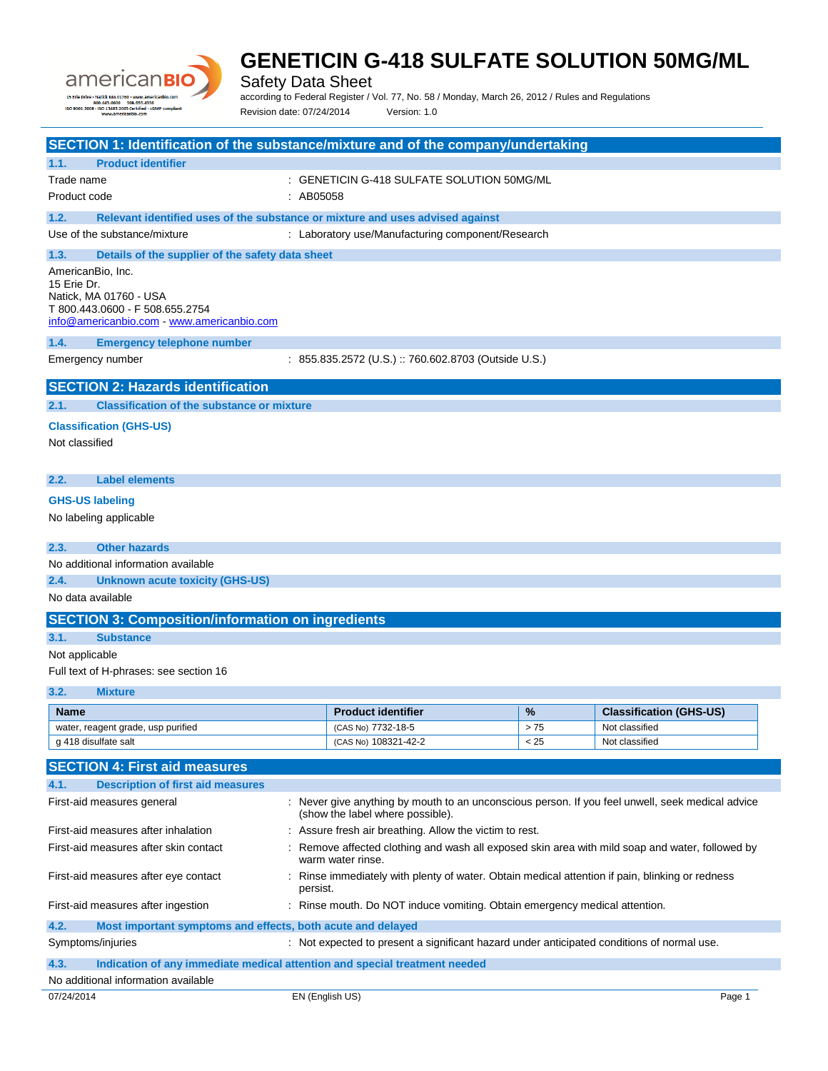

Safety Data Sheet

according to Federal Register / Vol. 77, No. 58 / Monday, March 26, 2012 / Rules and Regulations

Revision date: 07/24/2014 Version: 1.0

|                                                                                                                  |                                                                               |           | SECTION 1: Identification of the substance/mixture and of the company/undertaking                |      |                                |
|------------------------------------------------------------------------------------------------------------------|-------------------------------------------------------------------------------|-----------|--------------------------------------------------------------------------------------------------|------|--------------------------------|
| 1.1.                                                                                                             | <b>Product identifier</b>                                                     |           |                                                                                                  |      |                                |
| Trade name                                                                                                       |                                                                               |           | : GENETICIN G-418 SULFATE SOLUTION 50MG/ML                                                       |      |                                |
| Product code                                                                                                     |                                                                               | : AB05058 |                                                                                                  |      |                                |
|                                                                                                                  |                                                                               |           |                                                                                                  |      |                                |
| 1.2.                                                                                                             | Relevant identified uses of the substance or mixture and uses advised against |           |                                                                                                  |      |                                |
|                                                                                                                  | Use of the substance/mixture                                                  |           | : Laboratory use/Manufacturing component/Research                                                |      |                                |
| 1.3.                                                                                                             | Details of the supplier of the safety data sheet                              |           |                                                                                                  |      |                                |
| AmericanBio, Inc.                                                                                                |                                                                               |           |                                                                                                  |      |                                |
| 15 Erie Dr.                                                                                                      | Natick. MA 01760 - USA                                                        |           |                                                                                                  |      |                                |
|                                                                                                                  | T 800.443.0600 - F 508.655.2754                                               |           |                                                                                                  |      |                                |
|                                                                                                                  | info@americanbio.com www.americanbio.com                                      |           |                                                                                                  |      |                                |
| 1.4.                                                                                                             | <b>Emergency telephone number</b>                                             |           |                                                                                                  |      |                                |
| Emergency number                                                                                                 |                                                                               |           | : 855.835.2572 (U.S.) :: 760.602.8703 (Outside U.S.)                                             |      |                                |
|                                                                                                                  | <b>SECTION 2: Hazards identification</b>                                      |           |                                                                                                  |      |                                |
|                                                                                                                  |                                                                               |           |                                                                                                  |      |                                |
| 2.1.                                                                                                             | <b>Classification of the substance or mixture</b>                             |           |                                                                                                  |      |                                |
|                                                                                                                  | <b>Classification (GHS-US)</b>                                                |           |                                                                                                  |      |                                |
| Not classified                                                                                                   |                                                                               |           |                                                                                                  |      |                                |
|                                                                                                                  |                                                                               |           |                                                                                                  |      |                                |
| 2.2.                                                                                                             | <b>Label elements</b>                                                         |           |                                                                                                  |      |                                |
| <b>GHS-US labeling</b>                                                                                           |                                                                               |           |                                                                                                  |      |                                |
|                                                                                                                  | No labeling applicable                                                        |           |                                                                                                  |      |                                |
|                                                                                                                  |                                                                               |           |                                                                                                  |      |                                |
| 2.3.                                                                                                             | <b>Other hazards</b>                                                          |           |                                                                                                  |      |                                |
|                                                                                                                  | No additional information available                                           |           |                                                                                                  |      |                                |
| 2.4.                                                                                                             | <b>Unknown acute toxicity (GHS-US)</b>                                        |           |                                                                                                  |      |                                |
| No data available                                                                                                |                                                                               |           |                                                                                                  |      |                                |
|                                                                                                                  | <b>SECTION 3: Composition/information on ingredients</b>                      |           |                                                                                                  |      |                                |
| 3.1.                                                                                                             | <b>Substance</b>                                                              |           |                                                                                                  |      |                                |
| Not applicable                                                                                                   |                                                                               |           |                                                                                                  |      |                                |
|                                                                                                                  | Full text of H-phrases: see section 16                                        |           |                                                                                                  |      |                                |
| 3.2.                                                                                                             | <b>Mixture</b>                                                                |           |                                                                                                  |      |                                |
| Name                                                                                                             |                                                                               |           | <b>Product identifier</b>                                                                        | %    | <b>Classification (GHS-US)</b> |
|                                                                                                                  | water, reagent grade, usp purified                                            |           | (CAS No) 7732-18-5                                                                               | > 75 | Not classified                 |
| g 418 disulfate salt                                                                                             |                                                                               |           | (CAS No) 108321-42-2                                                                             | < 25 | Not classified                 |
|                                                                                                                  | <b>SECTION 4: First aid measures</b>                                          |           |                                                                                                  |      |                                |
| 4.1.                                                                                                             | <b>Description of first aid measures</b>                                      |           |                                                                                                  |      |                                |
|                                                                                                                  | First-aid measures general                                                    |           | : Never give anything by mouth to an unconscious person. If you feel unwell, seek medical advice |      |                                |
|                                                                                                                  |                                                                               |           | (show the label where possible).                                                                 |      |                                |
|                                                                                                                  | First-aid measures after inhalation                                           |           | : Assure fresh air breathing. Allow the victim to rest.                                          |      |                                |
|                                                                                                                  | First-aid measures after skin contact                                         |           | Remove affected clothing and wash all exposed skin area with mild soap and water, followed by    |      |                                |
|                                                                                                                  |                                                                               |           | warm water rinse.                                                                                |      |                                |
|                                                                                                                  | First-aid measures after eye contact                                          |           | Rinse immediately with plenty of water. Obtain medical attention if pain, blinking or redness    |      |                                |
|                                                                                                                  |                                                                               | persist.  |                                                                                                  |      |                                |
| : Rinse mouth. Do NOT induce vomiting. Obtain emergency medical attention.<br>First-aid measures after ingestion |                                                                               |           |                                                                                                  |      |                                |
| 4.2.                                                                                                             | Most important symptoms and effects, both acute and delayed                   |           |                                                                                                  |      |                                |
| Symptoms/injuries                                                                                                |                                                                               |           | : Not expected to present a significant hazard under anticipated conditions of normal use.       |      |                                |
| 4.3.                                                                                                             | Indication of any immediate medical attention and special treatment needed    |           |                                                                                                  |      |                                |
|                                                                                                                  | No additional information available                                           |           |                                                                                                  |      |                                |

or/24/2014 **EN (English US) EN English US) Page 1**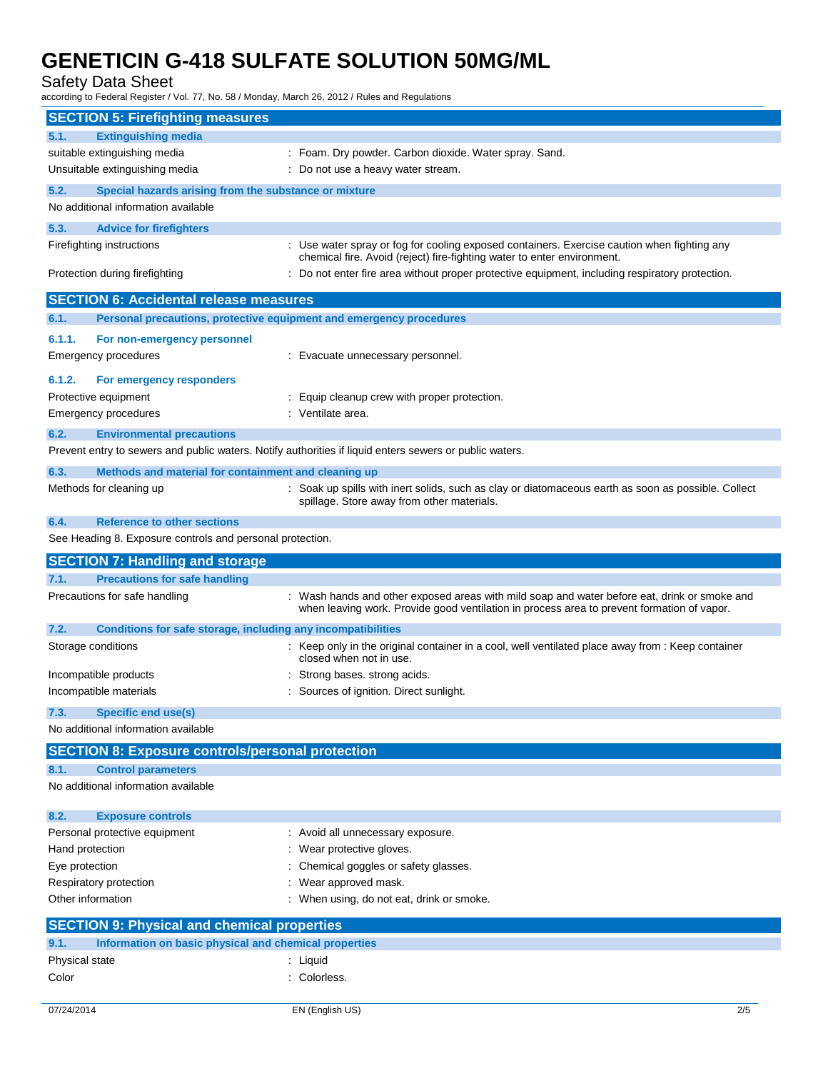Safety Data Sheet

according to Federal Register / Vol. 77, No. 58 / Monday, March 26, 2012 / Rules and Regulations

| <b>SECTION 5: Firefighting measures</b>                              |                                                                                                                                                                                            |
|----------------------------------------------------------------------|--------------------------------------------------------------------------------------------------------------------------------------------------------------------------------------------|
| <b>Extinguishing media</b><br>5.1.                                   |                                                                                                                                                                                            |
| suitable extinguishing media                                         | : Foam. Dry powder. Carbon dioxide. Water spray. Sand.                                                                                                                                     |
| Unsuitable extinguishing media                                       | : Do not use a heavy water stream.                                                                                                                                                         |
| 5.2.<br>Special hazards arising from the substance or mixture        |                                                                                                                                                                                            |
| No additional information available                                  |                                                                                                                                                                                            |
| 5.3.<br><b>Advice for firefighters</b>                               |                                                                                                                                                                                            |
| Firefighting instructions                                            | : Use water spray or fog for cooling exposed containers. Exercise caution when fighting any                                                                                                |
| Protection during firefighting                                       | chemical fire. Avoid (reject) fire-fighting water to enter environment.<br>Do not enter fire area without proper protective equipment, including respiratory protection.                   |
| <b>SECTION 6: Accidental release measures</b>                        |                                                                                                                                                                                            |
| 6.1.                                                                 | Personal precautions, protective equipment and emergency procedures                                                                                                                        |
| 6.1.1.<br>For non-emergency personnel                                |                                                                                                                                                                                            |
| Emergency procedures                                                 | : Evacuate unnecessary personnel.                                                                                                                                                          |
| 6.1.2.<br>For emergency responders                                   |                                                                                                                                                                                            |
| Protective equipment                                                 | : Equip cleanup crew with proper protection.                                                                                                                                               |
| Emergency procedures                                                 | : Ventilate area.                                                                                                                                                                          |
| 6.2.<br><b>Environmental precautions</b>                             |                                                                                                                                                                                            |
|                                                                      | Prevent entry to sewers and public waters. Notify authorities if liquid enters sewers or public waters.                                                                                    |
| 6.3.<br>Methods and material for containment and cleaning up         |                                                                                                                                                                                            |
| Methods for cleaning up                                              | : Soak up spills with inert solids, such as clay or diatomaceous earth as soon as possible. Collect                                                                                        |
|                                                                      | spillage. Store away from other materials.                                                                                                                                                 |
| 6.4.<br><b>Reference to other sections</b>                           |                                                                                                                                                                                            |
| See Heading 8. Exposure controls and personal protection.            |                                                                                                                                                                                            |
|                                                                      |                                                                                                                                                                                            |
| <b>SECTION 7: Handling and storage</b>                               |                                                                                                                                                                                            |
| <b>Precautions for safe handling</b><br>7.1.                         |                                                                                                                                                                                            |
| Precautions for safe handling                                        | : Wash hands and other exposed areas with mild soap and water before eat, drink or smoke and<br>when leaving work. Provide good ventilation in process area to prevent formation of vapor. |
| Conditions for safe storage, including any incompatibilities<br>7.2. |                                                                                                                                                                                            |
| Storage conditions                                                   | : Keep only in the original container in a cool, well ventilated place away from : Keep container<br>closed when not in use.                                                               |
| Incompatible products                                                | Strong bases. strong acids.                                                                                                                                                                |
| Incompatible materials                                               | Sources of ignition. Direct sunlight.                                                                                                                                                      |
| <b>Specific end use(s)</b><br>7.3.                                   |                                                                                                                                                                                            |
| No additional information available                                  |                                                                                                                                                                                            |
| <b>SECTION 8: Exposure controls/personal protection</b>              |                                                                                                                                                                                            |
| <b>Control parameters</b><br>8.1.                                    |                                                                                                                                                                                            |
| No additional information available                                  |                                                                                                                                                                                            |
| 8.2.<br><b>Exposure controls</b>                                     |                                                                                                                                                                                            |
| Personal protective equipment                                        | : Avoid all unnecessary exposure.                                                                                                                                                          |
| Hand protection                                                      | Wear protective gloves.                                                                                                                                                                    |
| Eye protection                                                       | Chemical goggles or safety glasses.                                                                                                                                                        |
| Respiratory protection                                               | Wear approved mask.                                                                                                                                                                        |
| Other information                                                    | : When using, do not eat, drink or smoke.                                                                                                                                                  |
| <b>SECTION 9: Physical and chemical properties</b>                   |                                                                                                                                                                                            |
| Information on basic physical and chemical properties<br>9.1.        |                                                                                                                                                                                            |
| Physical state<br>Color                                              | : Liquid<br>: Colorless.                                                                                                                                                                   |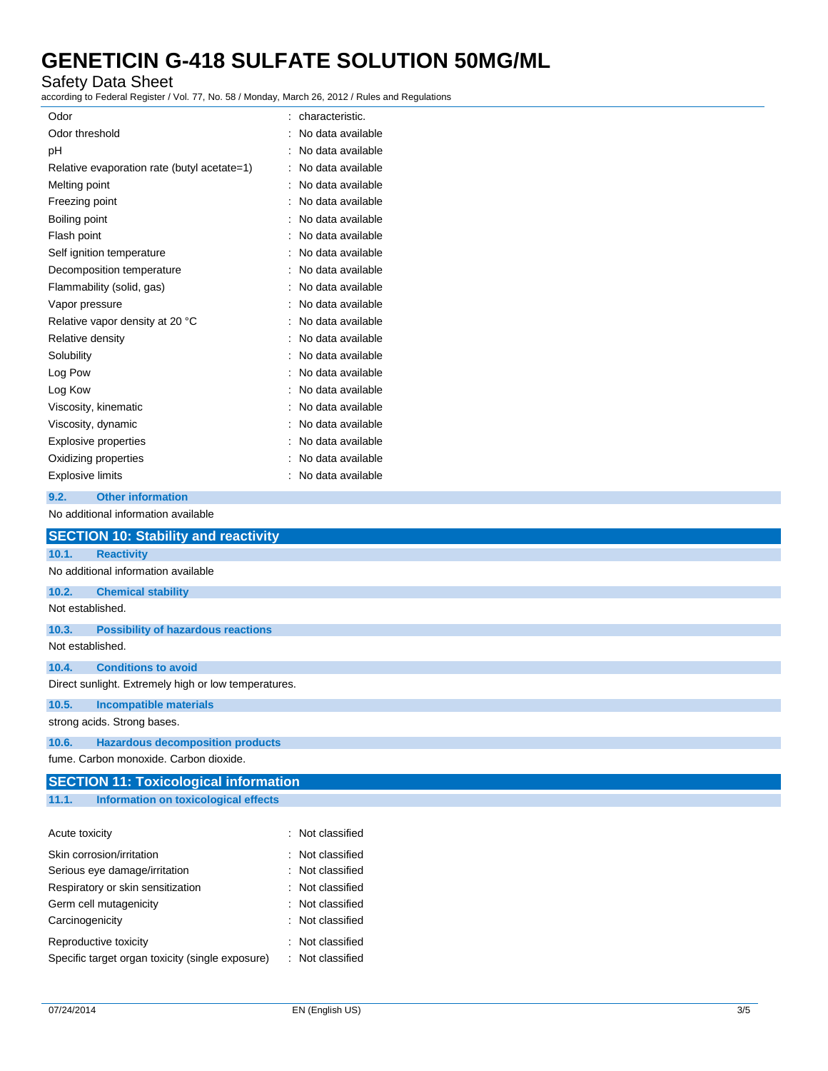### Safety Data Sheet

according to Federal Register / Vol. 77, No. 58 / Monday, March 26, 2012 / Rules and Regulations

| Odor                                        | characteristic.     |
|---------------------------------------------|---------------------|
| Odor threshold                              | No data available   |
| рH                                          | No data available   |
| Relative evaporation rate (butyl acetate=1) | No data available   |
| Melting point                               | No data available   |
| Freezing point                              | No data available   |
| Boiling point                               | : No data available |
| Flash point                                 | No data available   |
| Self ignition temperature                   | No data available   |
| Decomposition temperature                   | No data available   |
| Flammability (solid, gas)                   | No data available   |
| Vapor pressure                              | No data available   |
| Relative vapor density at 20 °C             | No data available   |
| Relative density                            | No data available   |
| Solubility                                  | No data available   |
| Log Pow                                     | : No data available |
| Log Kow                                     | No data available   |
| Viscosity, kinematic                        | No data available   |
| Viscosity, dynamic                          | : No data available |
| <b>Explosive properties</b>                 | No data available   |
| Oxidizing properties                        | No data available   |
| <b>Explosive limits</b>                     | No data available   |
|                                             |                     |

#### **9.2. Other information**

No additional information available

|                  | <b>SECTION 10: Stability and reactivity</b>          |                  |  |  |
|------------------|------------------------------------------------------|------------------|--|--|
| 10.1.            | <b>Reactivity</b>                                    |                  |  |  |
|                  | No additional information available                  |                  |  |  |
| 10.2.            | <b>Chemical stability</b>                            |                  |  |  |
| Not established. |                                                      |                  |  |  |
| 10.3.            | <b>Possibility of hazardous reactions</b>            |                  |  |  |
| Not established. |                                                      |                  |  |  |
| 10.4.            | <b>Conditions to avoid</b>                           |                  |  |  |
|                  | Direct sunlight. Extremely high or low temperatures. |                  |  |  |
| 10.5.            | <b>Incompatible materials</b>                        |                  |  |  |
|                  | strong acids. Strong bases.                          |                  |  |  |
| 10.6.            | <b>Hazardous decomposition products</b>              |                  |  |  |
|                  | fume. Carbon monoxide. Carbon dioxide.               |                  |  |  |
|                  | <b>SECTION 11: Toxicological information</b>         |                  |  |  |
| 11.1.            | Information on toxicological effects                 |                  |  |  |
| Acute toxicity   |                                                      | : Not classified |  |  |
|                  |                                                      |                  |  |  |
|                  | Skin corrosion/irritation                            | : Not classified |  |  |
|                  | Serious eye damage/irritation                        | Not classified   |  |  |
|                  | Respiratory or skin sensitization                    | : Not classified |  |  |
|                  | Germ cell mutagenicity                               | haiti22sh toll   |  |  |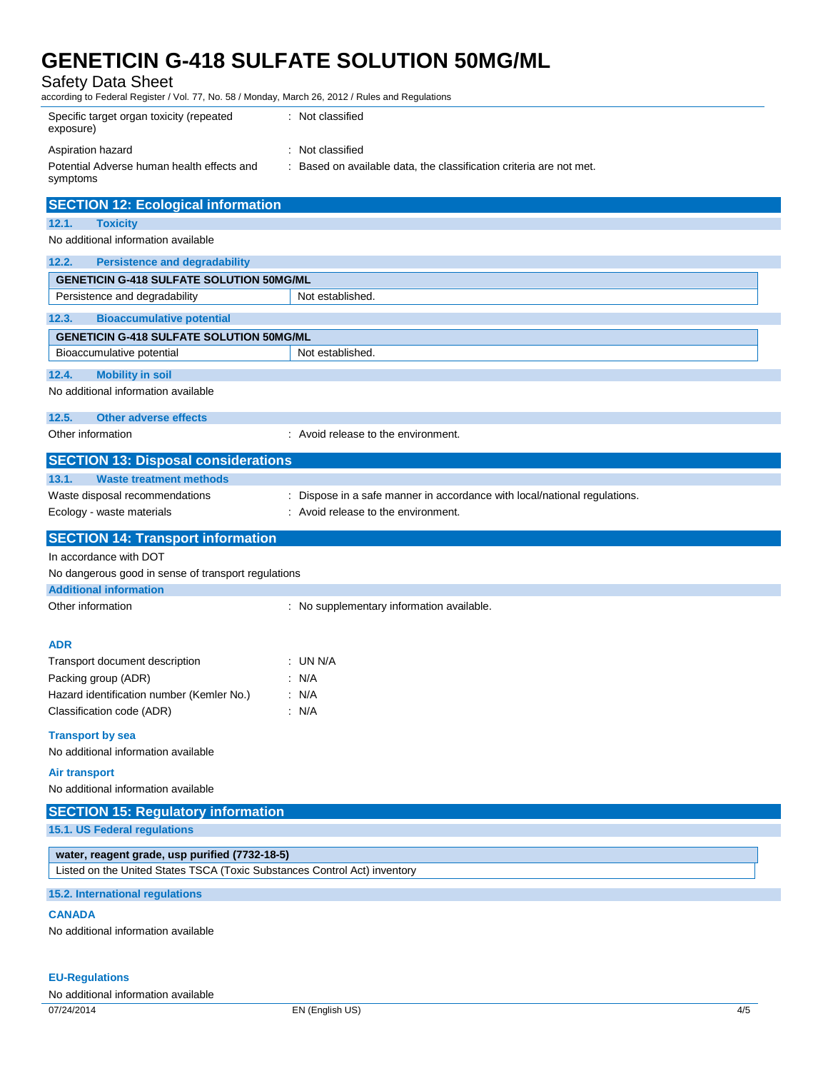Safety Data Sheet

according to Federal Register / Vol. 77, No. 58 / Monday, March 26, 2012 / Rules and Regulations

| Specific target organ toxicity (repeated<br>exposure)                     | : Not classified                                                                                                 |
|---------------------------------------------------------------------------|------------------------------------------------------------------------------------------------------------------|
| Aspiration hazard                                                         | : Not classified                                                                                                 |
| Potential Adverse human health effects and                                | : Based on available data, the classification criteria are not met.                                              |
| symptoms                                                                  |                                                                                                                  |
| <b>SECTION 12: Ecological information</b>                                 |                                                                                                                  |
| <b>Toxicity</b><br>12.1.                                                  |                                                                                                                  |
| No additional information available                                       |                                                                                                                  |
| <b>Persistence and degradability</b><br>12.2.                             |                                                                                                                  |
| <b>GENETICIN G-418 SULFATE SOLUTION 50MG/ML</b>                           |                                                                                                                  |
| Persistence and degradability                                             | Not established.                                                                                                 |
| 12.3.<br><b>Bioaccumulative potential</b>                                 |                                                                                                                  |
| <b>GENETICIN G-418 SULFATE SOLUTION 50MG/ML</b>                           |                                                                                                                  |
| Bioaccumulative potential                                                 | Not established.                                                                                                 |
| 12.4.<br><b>Mobility in soil</b>                                          |                                                                                                                  |
| No additional information available                                       |                                                                                                                  |
| 12.5.<br><b>Other adverse effects</b>                                     |                                                                                                                  |
| Other information                                                         | : Avoid release to the environment.                                                                              |
|                                                                           |                                                                                                                  |
| <b>SECTION 13: Disposal considerations</b>                                |                                                                                                                  |
| 13.1.<br><b>Waste treatment methods</b>                                   |                                                                                                                  |
| Waste disposal recommendations<br>Ecology - waste materials               | : Dispose in a safe manner in accordance with local/national regulations.<br>: Avoid release to the environment. |
|                                                                           |                                                                                                                  |
| <b>SECTION 14: Transport information</b>                                  |                                                                                                                  |
|                                                                           |                                                                                                                  |
| In accordance with DOT                                                    |                                                                                                                  |
| No dangerous good in sense of transport regulations                       |                                                                                                                  |
| <b>Additional information</b>                                             |                                                                                                                  |
| Other information                                                         | : No supplementary information available.                                                                        |
|                                                                           |                                                                                                                  |
| <b>ADR</b>                                                                | : UN N/A                                                                                                         |
| Transport document description                                            | : N/A                                                                                                            |
| Packing group (ADR)<br>Hazard identification number (Kemler No.)          | : N/A                                                                                                            |
| Classification code (ADR)                                                 | : N/A                                                                                                            |
|                                                                           |                                                                                                                  |
| <b>Transport by sea</b><br>No additional information available            |                                                                                                                  |
| <b>Air transport</b>                                                      |                                                                                                                  |
| No additional information available                                       |                                                                                                                  |
|                                                                           |                                                                                                                  |
| <b>SECTION 15: Regulatory information</b><br>15.1. US Federal regulations |                                                                                                                  |
|                                                                           |                                                                                                                  |
| water, reagent grade, usp purified (7732-18-5)                            |                                                                                                                  |
| Listed on the United States TSCA (Toxic Substances Control Act) inventory |                                                                                                                  |
| 15.2. International regulations                                           |                                                                                                                  |
| <b>CANADA</b>                                                             |                                                                                                                  |
| No additional information available                                       |                                                                                                                  |

**EU-Regulations** No additional information available